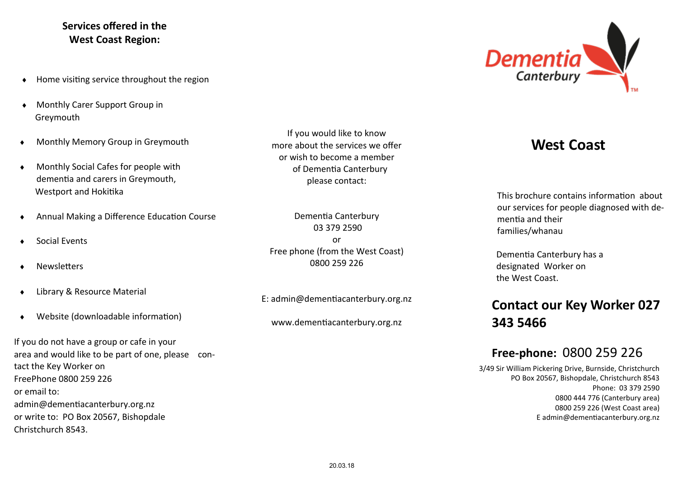#### **Services offered in the West Coast Region:**

- $\bullet$  Home visiting service throughout the region
- Monthly Carer Support Group in Greymouth
- Monthly Memory Group in Greymouth
- Monthly Social Cafes for people with dementia and carers in Greymouth, Westport and Hokitika
- Annual Making a Difference Education Course
- Social Events
- **Newsletters**
- Library & Resource Material
- Website (downloadable information)

If you do not have a group or cafe in your area and would like to be part of one, please contact the Key Worker on FreePhone 0800 259 226 or email to: admin@dementiacanterbury.org.nz or write to: PO Box 20567, Bishopdale Christchurch 8543.

If you would like to know more about the services we offer or wish to become a member of Dementia Canterbury please contact:

Dementia Canterbury 03 379 2590 or Free phone (from the West Coast) 0800 259 226

E: admin@dementiacanterbury.org.nz

www.dementiacanterbury.org.nz



# **West Coast**

This brochure contains information about our services for people diagnosed with dementia and their families/whanau

 Dementia Canterbury has a designated Worker on the West Coast.

# **Contact our Key Worker 027 343 5466**

## **Free-phone:** 0800 259 226

3/49 Sir William Pickering Drive, Burnside, Christchurch PO Box 20567, Bishopdale, Christchurch 8543 Phone: 03 379 2590 0800 444 776 (Canterbury area) 0800 259 226 (West Coast area) E admin@dementiacanterbury.org.nz